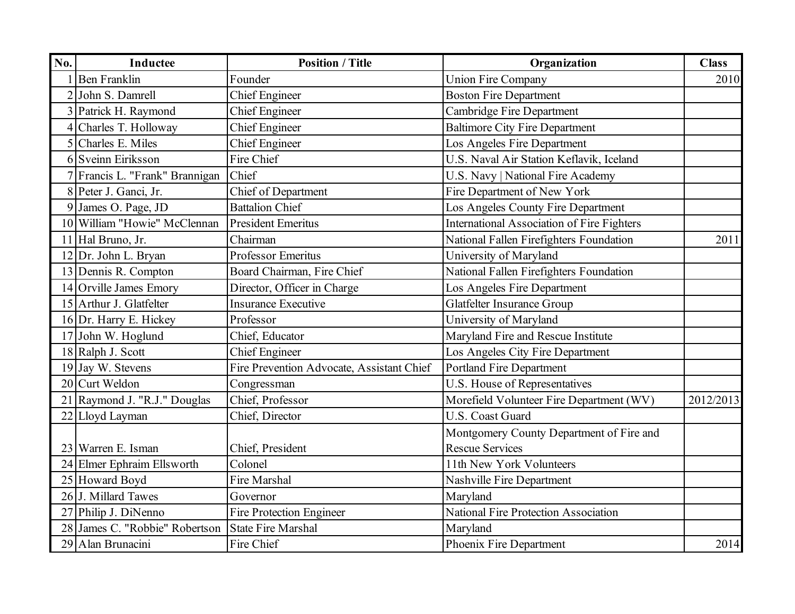| No. | <b>Inductee</b>                | <b>Position / Title</b>                   | Organization                                      | <b>Class</b> |
|-----|--------------------------------|-------------------------------------------|---------------------------------------------------|--------------|
|     | <b>Ben Franklin</b>            | Founder                                   | <b>Union Fire Company</b>                         | 2010         |
|     | 2 John S. Damrell              | <b>Chief Engineer</b>                     | <b>Boston Fire Department</b>                     |              |
|     | 3 Patrick H. Raymond           | <b>Chief Engineer</b>                     | Cambridge Fire Department                         |              |
|     | Charles T. Holloway            | <b>Chief Engineer</b>                     | <b>Baltimore City Fire Department</b>             |              |
| 5   | Charles E. Miles               | <b>Chief Engineer</b>                     | Los Angeles Fire Department                       |              |
|     | 6 Sveinn Eiriksson             | Fire Chief                                | U.S. Naval Air Station Keflavik, Iceland          |              |
|     | Francis L. "Frank" Brannigan   | Chief                                     | U.S. Navy   National Fire Academy                 |              |
|     | 8 Peter J. Ganci, Jr.          | Chief of Department                       | Fire Department of New York                       |              |
| 9   | James O. Page, JD              | <b>Battalion Chief</b>                    | Los Angeles County Fire Department                |              |
|     | 10 William "Howie" McClennan   | <b>President Emeritus</b>                 | <b>International Association of Fire Fighters</b> |              |
|     | 11 Hal Bruno, Jr.              | Chairman                                  | National Fallen Firefighters Foundation           | 2011         |
|     | 12 Dr. John L. Bryan           | Professor Emeritus                        | University of Maryland                            |              |
|     | 13 Dennis R. Compton           | Board Chairman, Fire Chief                | National Fallen Firefighters Foundation           |              |
|     | 14 Orville James Emory         | Director, Officer in Charge               | Los Angeles Fire Department                       |              |
|     | 15 Arthur J. Glatfelter        | <b>Insurance Executive</b>                | <b>Glatfelter Insurance Group</b>                 |              |
|     | 16 Dr. Harry E. Hickey         | Professor                                 | University of Maryland                            |              |
|     | 17 John W. Hoglund             | Chief, Educator                           | Maryland Fire and Rescue Institute                |              |
|     | 18 Ralph J. Scott              | <b>Chief Engineer</b>                     | Los Angeles City Fire Department                  |              |
|     | 19 Jay W. Stevens              | Fire Prevention Advocate, Assistant Chief | <b>Portland Fire Department</b>                   |              |
|     | 20 Curt Weldon                 | Congressman                               | U.S. House of Representatives                     |              |
|     | 21 Raymond J. "R.J." Douglas   | Chief, Professor                          | Morefield Volunteer Fire Department (WV)          | 2012/2013    |
|     | 22 Lloyd Layman                | Chief, Director                           | <b>U.S. Coast Guard</b>                           |              |
|     |                                |                                           | Montgomery County Department of Fire and          |              |
|     | 23 Warren E. Isman             | Chief, President                          | <b>Rescue Services</b>                            |              |
|     | 24 Elmer Ephraim Ellsworth     | Colonel                                   | 11th New York Volunteers                          |              |
|     | 25 Howard Boyd                 | Fire Marshal                              | Nashville Fire Department                         |              |
|     | 26 J. Millard Tawes            | Governor                                  | Maryland                                          |              |
|     | 27 Philip J. DiNenno           | <b>Fire Protection Engineer</b>           | National Fire Protection Association              |              |
|     | 28 James C. "Robbie" Robertson | <b>State Fire Marshal</b>                 | Maryland                                          |              |
|     | 29 Alan Brunacini              | Fire Chief                                | Phoenix Fire Department                           | 2014         |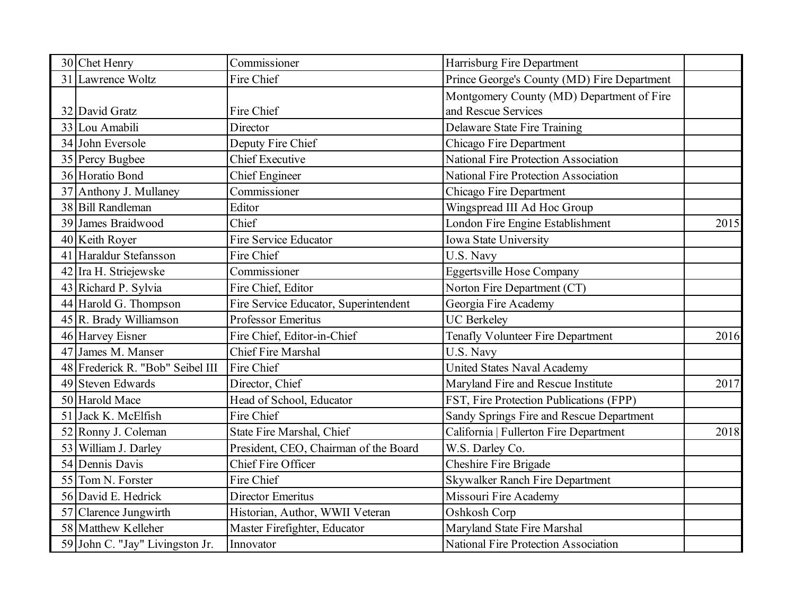| 30 Chet Henry                    | Commissioner                          | Harrisburg Fire Department                  |      |
|----------------------------------|---------------------------------------|---------------------------------------------|------|
| 31 Lawrence Woltz                | Fire Chief                            | Prince George's County (MD) Fire Department |      |
|                                  |                                       | Montgomery County (MD) Department of Fire   |      |
| 32 David Gratz                   | Fire Chief                            | and Rescue Services                         |      |
| 33 Lou Amabili                   | Director                              | Delaware State Fire Training                |      |
| 34 John Eversole                 | Deputy Fire Chief                     | Chicago Fire Department                     |      |
| 35 Percy Bugbee                  | <b>Chief Executive</b>                | <b>National Fire Protection Association</b> |      |
| 36 Horatio Bond                  | <b>Chief Engineer</b>                 | <b>National Fire Protection Association</b> |      |
| 37 Anthony J. Mullaney           | Commissioner                          | Chicago Fire Department                     |      |
| 38 Bill Randleman                | Editor                                | Wingspread III Ad Hoc Group                 |      |
| 39 James Braidwood               | Chief                                 | London Fire Engine Establishment            | 2015 |
| 40 Keith Royer                   | <b>Fire Service Educator</b>          | Iowa State University                       |      |
| 41 Haraldur Stefansson           | Fire Chief                            | U.S. Navy                                   |      |
| 42 Ira H. Striejewske            | Commissioner                          | <b>Eggertsville Hose Company</b>            |      |
| 43 Richard P. Sylvia             | Fire Chief, Editor                    | Norton Fire Department (CT)                 |      |
| 44 Harold G. Thompson            | Fire Service Educator, Superintendent | Georgia Fire Academy                        |      |
| 45 R. Brady Williamson           | <b>Professor Emeritus</b>             | <b>UC</b> Berkeley                          |      |
| 46 Harvey Eisner                 | Fire Chief, Editor-in-Chief           | Tenafly Volunteer Fire Department           | 2016 |
| 47 James M. Manser               | <b>Chief Fire Marshal</b>             | U.S. Navy                                   |      |
| 48 Frederick R. "Bob" Seibel III | Fire Chief                            | <b>United States Naval Academy</b>          |      |
| 49 Steven Edwards                | Director, Chief                       | Maryland Fire and Rescue Institute          | 2017 |
| 50 Harold Mace                   | Head of School, Educator              | FST, Fire Protection Publications (FPP)     |      |
| 51 Jack K. McElfish              | Fire Chief                            | Sandy Springs Fire and Rescue Department    |      |
| 52 Ronny J. Coleman              | State Fire Marshal, Chief             | California   Fullerton Fire Department      | 2018 |
| 53 William J. Darley             | President, CEO, Chairman of the Board | W.S. Darley Co.                             |      |
| 54 Dennis Davis                  | Chief Fire Officer                    | Cheshire Fire Brigade                       |      |
| 55 Tom N. Forster                | Fire Chief                            | <b>Skywalker Ranch Fire Department</b>      |      |
| 56 David E. Hedrick              | Director Emeritus                     | Missouri Fire Academy                       |      |
| 57 Clarence Jungwirth            | Historian, Author, WWII Veteran       | Oshkosh Corp                                |      |
| 58 Matthew Kelleher              | Master Firefighter, Educator          | Maryland State Fire Marshal                 |      |
| 59 John C. "Jay" Livingston Jr.  | Innovator                             | <b>National Fire Protection Association</b> |      |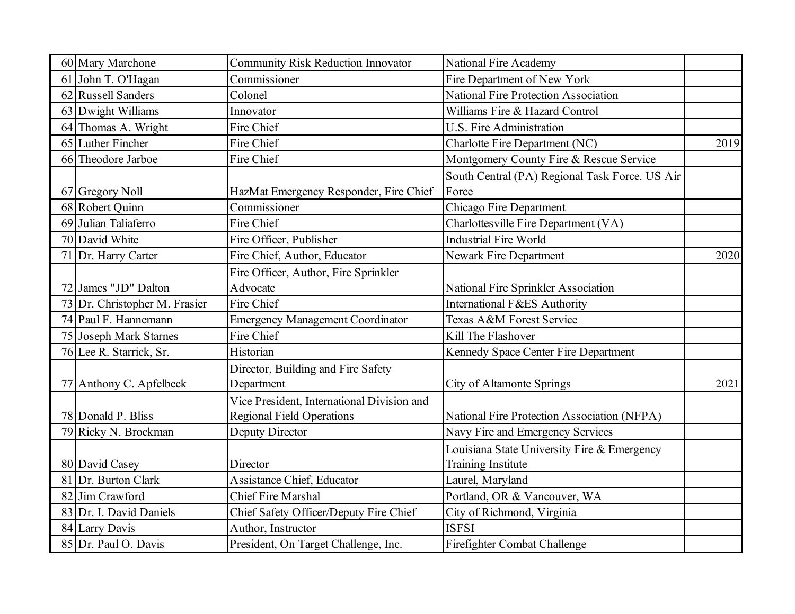| 60 Mary Marchone              | <b>Community Risk Reduction Innovator</b>                                      | <b>National Fire Academy</b>                                             |      |
|-------------------------------|--------------------------------------------------------------------------------|--------------------------------------------------------------------------|------|
| 61 John T. O'Hagan            | Commissioner                                                                   | Fire Department of New York                                              |      |
| 62 Russell Sanders            | Colonel                                                                        | <b>National Fire Protection Association</b>                              |      |
| 63 Dwight Williams            | Innovator                                                                      | Williams Fire & Hazard Control                                           |      |
| 64 Thomas A. Wright           | Fire Chief                                                                     | <b>U.S. Fire Administration</b>                                          |      |
| 65 Luther Fincher             | Fire Chief                                                                     | Charlotte Fire Department (NC)                                           | 2019 |
| 66 Theodore Jarboe            | Fire Chief                                                                     | Montgomery County Fire & Rescue Service                                  |      |
| 67 Gregory Noll               | HazMat Emergency Responder, Fire Chief                                         | South Central (PA) Regional Task Force. US Air<br>Force                  |      |
| 68 Robert Quinn               | Commissioner                                                                   | Chicago Fire Department                                                  |      |
| 69 Julian Taliaferro          | Fire Chief                                                                     | Charlottesville Fire Department (VA)                                     |      |
| 70 David White                | Fire Officer, Publisher                                                        | <b>Industrial Fire World</b>                                             |      |
| 71 Dr. Harry Carter           | Fire Chief, Author, Educator                                                   | Newark Fire Department                                                   | 2020 |
| 72 James "JD" Dalton          | Fire Officer, Author, Fire Sprinkler<br>Advocate                               | National Fire Sprinkler Association                                      |      |
| 73 Dr. Christopher M. Frasier | Fire Chief                                                                     | International F&ES Authority                                             |      |
| 74 Paul F. Hannemann          | <b>Emergency Management Coordinator</b>                                        | Texas A&M Forest Service                                                 |      |
| 75 Joseph Mark Starnes        | Fire Chief                                                                     | Kill The Flashover                                                       |      |
| 76 Lee R. Starrick, Sr.       | Historian                                                                      | Kennedy Space Center Fire Department                                     |      |
| 77 Anthony C. Apfelbeck       | Director, Building and Fire Safety<br>Department                               | City of Altamonte Springs                                                | 2021 |
| 78 Donald P. Bliss            | Vice President, International Division and<br><b>Regional Field Operations</b> | National Fire Protection Association (NFPA)                              |      |
| 79 Ricky N. Brockman          | Deputy Director                                                                | Navy Fire and Emergency Services                                         |      |
| 80 David Casey                | Director                                                                       | Louisiana State University Fire & Emergency<br><b>Training Institute</b> |      |
| Dr. Burton Clark              | Assistance Chief, Educator                                                     | Laurel, Maryland                                                         |      |
| 82 Jim Crawford               | <b>Chief Fire Marshal</b>                                                      | Portland, OR & Vancouver, WA                                             |      |
| 83 Dr. I. David Daniels       | Chief Safety Officer/Deputy Fire Chief                                         | City of Richmond, Virginia                                               |      |
| 84 Larry Davis                | Author, Instructor                                                             | <b>ISFSI</b>                                                             |      |
| 85 Dr. Paul O. Davis          | President, On Target Challenge, Inc.                                           | Firefighter Combat Challenge                                             |      |